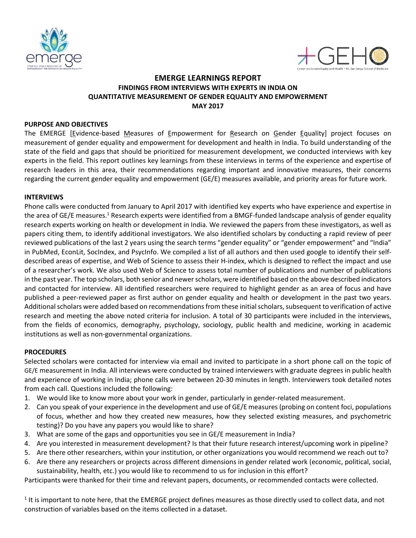



# **EMERGE LEARNINGS REPORT FINDINGS FROM INTERVIEWS WITH EXPERTS IN INDIA ON QUANTITATIVE MEASUREMENT OF GENDER EQUALITY AND EMPOWERMENT MAY 2017**

## **PURPOSE AND OBJECTIVES**

The EMERGE [Evidence-based Measures of Empowerment for Research on Gender Equality] project focuses on measurement of gender equality and empowerment for development and health in India. To build understanding of the state of the field and gaps that should be prioritized for measurement development, we conducted interviews with key experts in the field. This report outlines key learnings from these interviews in terms of the experience and expertise of research leaders in this area, their recommendations regarding important and innovative measures, their concerns regarding the current gender equality and empowerment (GE/E) measures available, and priority areas for future work.

## **INTERVIEWS**

Phone calls were conducted from January to April 2017 with identified key experts who have experience and expertise in the area of GE/E measures.<sup>1</sup> Research experts were identified from a BMGF-funded landscape analysis of gender equality research experts working on health or development in India. We reviewed the papers from these investigators, as well as papers citing them, to identify additional investigators. We also identified scholars by conducting a rapid review of peer reviewed publications of the last 2 years using the search terms "gender equality" or "gender empowerment" and "India" in PubMed, EconLit, SocIndex, and PsycInfo. We compiled a list of all authors and then used google to identify their selfdescribed areas of expertise, and Web of Science to assess their H-index, which is designed to reflect the impact and use of a researcher's work. We also used Web of Science to assess total number of publications and number of publications in the past year. The top scholars, both senior and newerscholars, were identified based on the above described indicators and contacted for interview. All identified researchers were required to highlight gender as an area of focus and have published a peer-reviewed paper as first author on gender equality and health or development in the past two years. Additional scholars were added based on recommendations from these initial scholars, subsequent to verification of active research and meeting the above noted criteria for inclusion. A total of 30 participants were included in the interviews, from the fields of economics, demography, psychology, sociology, public health and medicine, working in academic institutions as well as non-governmental organizations.

## **PROCEDURES**

Selected scholars were contacted for interview via email and invited to participate in a short phone call on the topic of GE/E measurement in India. All interviews were conducted by trained interviewers with graduate degrees in public health and experience of working in India; phone calls were between 20-30 minutes in length. Interviewers took detailed notes from each call. Questions included the following:

- 1. We would like to know more about your work in gender, particularly in gender-related measurement.
- 2. Can you speak of your experience in the development and use of GE/E measures (probing on content foci, populations of focus, whether and how they created new measures, how they selected existing measures, and psychometric testing)? Do you have any papers you would like to share?
- 3. What are some of the gaps and opportunities you see in GE/E measurement in India?
- 4. Are you interested in measurement development? Is that their future research interest/upcoming work in pipeline?
- 5. Are there other researchers, within your institution, or other organizations you would recommend we reach out to?
- 6. Are there any researchers or projects across different dimensions in gender related work (economic, political, social, sustainability, health, etc.) you would like to recommend to us for inclusion in this effort?

Participants were thanked for their time and relevant papers, documents, or recommended contacts were collected.

 $1$  It is important to note here, that the EMERGE project defines measures as those directly used to collect data, and not construction of variables based on the items collected in a dataset.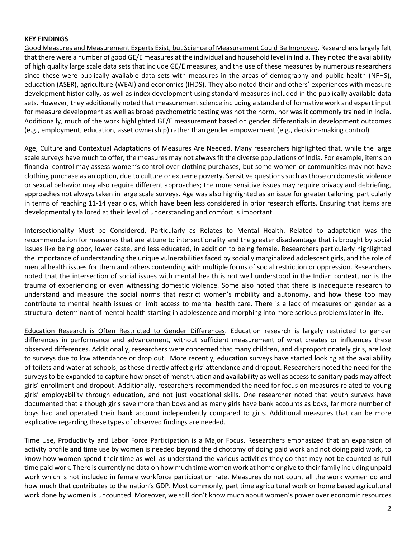## **KEY FINDINGS**

Good Measures and Measurement Experts Exist, but Science of Measurement Could Be Improved. Researchers largely felt that there were a number of good GE/E measures at the individual and household level in India. They noted the availability of high quality large scale data sets that include GE/E measures, and the use of these measures by numerous researchers since these were publically available data sets with measures in the areas of demography and public health (NFHS), education (ASER), agriculture (WEAI) and economics (IHDS). They also noted their and others' experiences with measure development historically, as well as index development using standard measures included in the publically available data sets. However, they additionally noted that measurement science including a standard of formative work and expert input for measure development as well as broad psychometric testing was not the norm, nor was it commonly trained in India. Additionally, much of the work highlighted GE/E measurement based on gender differentials in development outcomes (e.g., employment, education, asset ownership) rather than gender empowerment (e.g., decision-making control).

Age, Culture and Contextual Adaptations of Measures Are Needed. Many researchers highlighted that, while the large scale surveys have much to offer, the measures may not always fit the diverse populations of India. For example, items on financial control may assess women's control over clothing purchases, but some women or communities may not have clothing purchase as an option, due to culture or extreme poverty. Sensitive questions such as those on domestic violence or sexual behavior may also require different approaches; the more sensitive issues may require privacy and debriefing, approaches not always taken in large scale surveys. Age was also highlighted as an issue for greater tailoring, particularly in terms of reaching 11-14 year olds, which have been less considered in prior research efforts. Ensuring that items are developmentally tailored at their level of understanding and comfort is important.

Intersectionality Must be Considered, Particularly as Relates to Mental Health. Related to adaptation was the recommendation for measures that are attune to intersectionality and the greater disadvantage that is brought by social issues like being poor, lower caste, and less educated, in addition to being female. Researchers particularly highlighted the importance of understanding the unique vulnerabilities faced by socially marginalized adolescent girls, and the role of mental health issues for them and others contending with multiple forms of social restriction or oppression. Researchers noted that the intersection of social issues with mental health is not well understood in the Indian context, nor is the trauma of experiencing or even witnessing domestic violence. Some also noted that there is inadequate research to understand and measure the social norms that restrict women's mobility and autonomy, and how these too may contribute to mental health issues or limit access to mental health care. There is a lack of measures on gender as a structural determinant of mental health starting in adolescence and morphing into more serious problems later in life.

Education Research is Often Restricted to Gender Differences. Education research is largely restricted to gender differences in performance and advancement, without sufficient measurement of what creates or influences these observed differences. Additionally, researchers were concerned that many children, and disproportionately girls, are lost to surveys due to low attendance or drop out. More recently, education surveys have started looking at the availability of toilets and water at schools, as these directly affect girls' attendance and dropout. Researchers noted the need for the surveysto be expanded to capture how onset of menstruation and availability as well as accessto sanitary pads may affect girls' enrollment and dropout. Additionally, researchers recommended the need for focus on measures related to young girls' employability through education, and not just vocational skills. One researcher noted that youth surveys have documented that although girls save more than boys and as many girls have bank accounts as boys, far more number of boys had and operated their bank account independently compared to girls. Additional measures that can be more explicative regarding these types of observed findings are needed.

Time Use, Productivity and Labor Force Participation is a Major Focus. Researchers emphasized that an expansion of activity profile and time use by women is needed beyond the dichotomy of doing paid work and not doing paid work, to know how women spend their time as well as understand the various activities they do that may not be counted as full time paid work. There is currently no data on how much time women work at home or give to their family including unpaid work which is not included in female workforce participation rate. Measures do not count all the work women do and how much that contributes to the nation's GDP. Most commonly, part time agricultural work or home based agricultural work done by women is uncounted. Moreover, we still don't know much about women's power over economic resources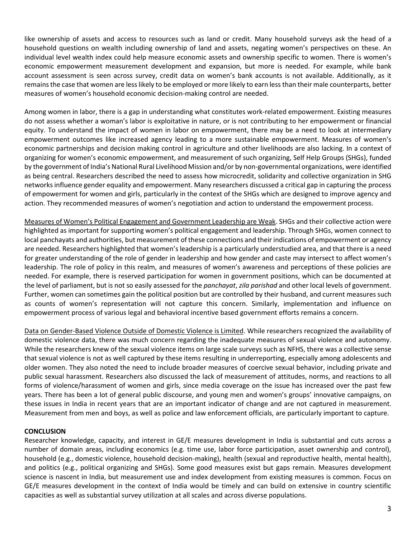like ownership of assets and access to resources such as land or credit. Many household surveys ask the head of a household questions on wealth including ownership of land and assets, negating women's perspectives on these. An individual level wealth index could help measure economic assets and ownership specific to women. There is women's economic empowerment measurement development and expansion, but more is needed. For example, while bank account assessment is seen across survey, credit data on women's bank accounts is not available. Additionally, as it remains the case that women are less likely to be employed or more likely to earn less than their male counterparts, better measures of women's household economic decision-making control are needed.

Among women in labor, there is a gap in understanding what constitutes work-related empowerment. Existing measures do not assess whether a woman's labor is exploitative in nature, or is not contributing to her empowerment or financial equity. To understand the impact of women in labor on empowerment, there may be a need to look at intermediary empowerment outcomes like increased agency leading to a more sustainable empowerment. Measures of women's economic partnerships and decision making control in agriculture and other livelihoods are also lacking. In a context of organizing for women's economic empowerment, and measurement of such organizing, Self Help Groups (SHGs), funded by the government of India's National Rural Livelihood Mission and/or by non-governmental organizations, were identified as being central. Researchers described the need to assess how microcredit, solidarity and collective organization in SHG networksinfluence gender equality and empowerment. Many researchers discussed a critical gap in capturing the process of empowerment for women and girls, particularly in the context of the SHGs which are designed to improve agency and action. They recommended measures of women's negotiation and action to understand the empowerment process.

Measures of Women's Political Engagement and Government Leadership are Weak. SHGs and their collective action were highlighted as important for supporting women's political engagement and leadership. Through SHGs, women connect to local panchayats and authorities, but measurement of these connections and their indications of empowerment or agency are needed. Researchers highlighted that women's leadership is a particularly understudied area, and that there is a need for greater understanding of the role of gender in leadership and how gender and caste may intersect to affect women's leadership. The role of policy in this realm, and measures of women's awareness and perceptions of these policies are needed. For example, there is reserved participation for women in government positions, which can be documented at the level of parliament, but is not so easily assessed for the *panchayat*, *zila parishad* and other local levels of government. Further, women can sometimes gain the political position but are controlled by their husband, and current measures such as counts of women's representation will not capture this concern. Similarly, implementation and influence on empowerment process of various legal and behavioral incentive based government efforts remains a concern.

Data on Gender-Based Violence Outside of Domestic Violence is Limited. While researchers recognized the availability of domestic violence data, there was much concern regarding the inadequate measures of sexual violence and autonomy. While the researchers knew of the sexual violence items on large scale surveys such as NFHS, there was a collective sense that sexual violence is not as well captured by these items resulting in underreporting, especially among adolescents and older women. They also noted the need to include broader measures of coercive sexual behavior, including private and public sexual harassment. Researchers also discussed the lack of measurement of attitudes, norms, and reactions to all forms of violence/harassment of women and girls, since media coverage on the issue has increased over the past few years. There has been a lot of general public discourse, and young men and women's groups' innovative campaigns, on these issues in India in recent years that are an important indicator of change and are not captured in measurement. Measurement from men and boys, as well as police and law enforcement officials, are particularly important to capture.

## **CONCLUSION**

Researcher knowledge, capacity, and interest in GE/E measures development in India is substantial and cuts across a number of domain areas, including economics (e.g. time use, labor force participation, asset ownership and control), household (e.g., domestic violence, household decision-making), health (sexual and reproductive health, mental health), and politics (e.g., political organizing and SHGs). Some good measures exist but gaps remain. Measures development science is nascent in India, but measurement use and index development from existing measures is common. Focus on GE/E measures development in the context of India would be timely and can build on extensive in country scientific capacities as well as substantial survey utilization at all scales and across diverse populations.